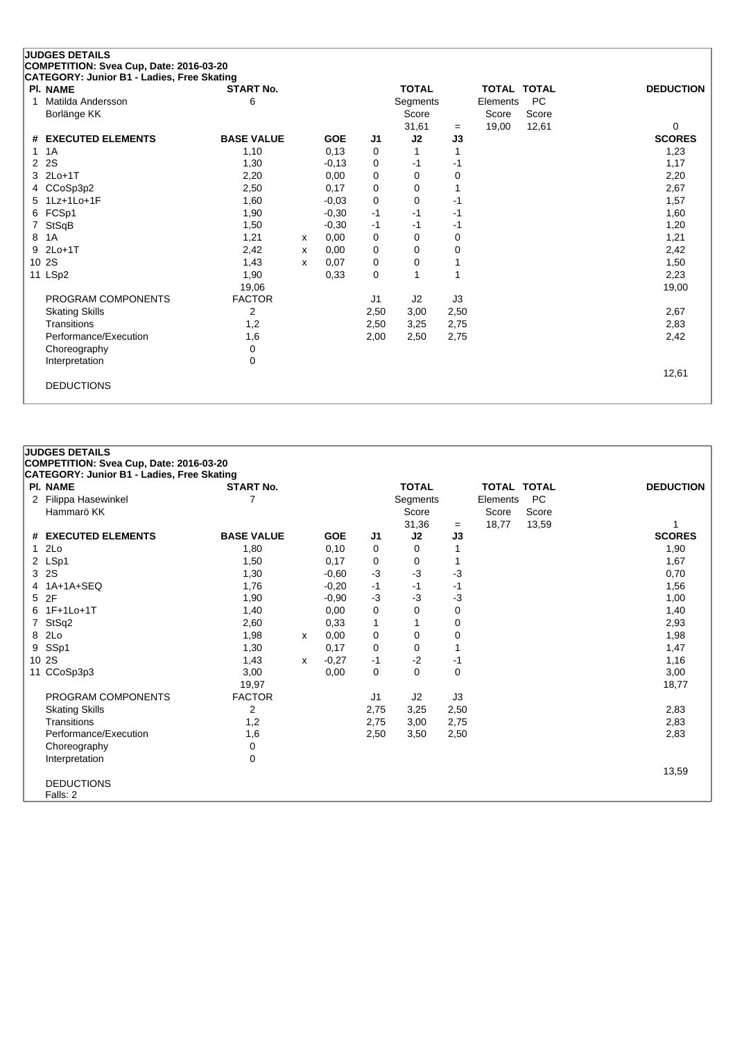### **JUDGES DETAILS COMPETITION: Svea Cup, Date: 2016-03-20**

|                      | PI. NAME              | <b>START No.</b>  |   |            |                | <b>TOTAL</b>   |      | <b>TOTAL TOTAL</b> |       | <b>DEDUCTION</b> |
|----------------------|-----------------------|-------------------|---|------------|----------------|----------------|------|--------------------|-------|------------------|
|                      | Matilda Andersson     | 6                 |   |            |                | Segments       |      | Elements           | PC    |                  |
|                      | Borlänge KK           |                   |   |            |                | Score          |      | Score              | Score |                  |
|                      |                       |                   |   |            |                | 31,61          | $=$  | 19,00              | 12,61 | 0                |
|                      | # EXECUTED ELEMENTS   | <b>BASE VALUE</b> |   | <b>GOE</b> | J <sub>1</sub> | J <sub>2</sub> | J3   |                    |       | <b>SCORES</b>    |
|                      | 1 1 A                 | 1,10              |   | 0,13       | 0              |                |      |                    |       | 1,23             |
| $\mathbf{2}^{\circ}$ | <b>2S</b>             | 1,30              |   | $-0,13$    | 0              | -1             | -1   |                    |       | 1,17             |
|                      | 3 2Lo+1T              | 2,20              |   | 0,00       | 0              | 0              | 0    |                    |       | 2,20             |
| 4                    | CCoSp3p2              | 2,50              |   | 0,17       | 0              | 0              |      |                    |       | 2,67             |
|                      | 5 1Lz+1Lo+1F          | 1,60              |   | $-0,03$    | 0              | 0              | $-1$ |                    |       | 1,57             |
|                      | 6 FCSp1               | 1,90              |   | $-0,30$    | -1             | -1             | -1   |                    |       | 1,60             |
|                      | 7 StSqB               | 1,50              |   | $-0,30$    | $-1$           | -1             | -1   |                    |       | 1,20             |
| 8                    | 1A                    | 1,21              | х | 0,00       | 0              | 0              | 0    |                    |       | 1,21             |
| 9                    | $2Lo+1T$              | 2,42              | х | 0,00       | 0              | 0              | 0    |                    |       | 2,42             |
|                      | 10 2S                 | 1,43              | X | 0,07       | 0              | 0              |      |                    |       | 1,50             |
|                      | 11 LSp2               | 1,90              |   | 0,33       | 0              | 1              |      |                    |       | 2,23             |
|                      |                       | 19,06             |   |            |                |                |      |                    |       | 19,00            |
|                      | PROGRAM COMPONENTS    | <b>FACTOR</b>     |   |            | J1             | J2             | J3   |                    |       |                  |
|                      | <b>Skating Skills</b> | 2                 |   |            | 2,50           | 3,00           | 2,50 |                    |       | 2,67             |
|                      | Transitions           | 1,2               |   |            | 2,50           | 3,25           | 2,75 |                    |       | 2,83             |
|                      | Performance/Execution | 1,6               |   |            | 2,00           | 2,50           | 2,75 |                    |       | 2,42             |
|                      | Choreography          | 0                 |   |            |                |                |      |                    |       |                  |
|                      | Interpretation        | 0                 |   |            |                |                |      |                    |       |                  |
|                      |                       |                   |   |            |                |                |      |                    |       | 12,61            |
|                      | <b>DEDUCTIONS</b>     |                   |   |            |                |                |      |                    |       |                  |
|                      |                       |                   |   |            |                |                |      |                    |       |                  |

# **JUDGES DETAILS**

**COMPETITION: Svea Cup, Date: 2016-03-20**

| CATEGORY: Junior B1 - Ladies, Free Skating |                   |   |            |      |              |      |                    |           |                  |
|--------------------------------------------|-------------------|---|------------|------|--------------|------|--------------------|-----------|------------------|
| PI. NAME                                   | <b>START No.</b>  |   |            |      | <b>TOTAL</b> |      | <b>TOTAL TOTAL</b> |           | <b>DEDUCTION</b> |
| 2 Filippa Hasewinkel                       |                   |   |            |      | Segments     |      | Elements           | <b>PC</b> |                  |
| Hammarö KK                                 |                   |   |            |      | Score        |      | Score              | Score     |                  |
|                                            |                   |   |            |      | 31,36        | $=$  | 18,77              | 13,59     |                  |
| # EXECUTED ELEMENTS                        | <b>BASE VALUE</b> |   | <b>GOE</b> | J1   | J2           | J3   |                    |           | <b>SCORES</b>    |
| 12Lo                                       | 1,80              |   | 0,10       | 0    | 0            |      |                    |           | 1,90             |
| 2 LSp1                                     | 1,50              |   | 0,17       | 0    | 0            |      |                    |           | 1,67             |
| 3 2S                                       | 1,30              |   | $-0,60$    | $-3$ | $-3$         | -3   |                    |           | 0,70             |
| 4 1A+1A+SEQ                                | 1,76              |   | $-0,20$    | -1   | -1           | -1   |                    |           | 1,56             |
| 5 2F                                       | 1,90              |   | $-0.90$    | $-3$ | $-3$         | -3   |                    |           | 1,00             |
| 6 1F+1Lo+1T                                | 1,40              |   | 0,00       | 0    | 0            | 0    |                    |           | 1,40             |
| 7 StSq2                                    | 2,60              |   | 0,33       | 1    |              | 0    |                    |           | 2,93             |
| 8 2Lo                                      | 1,98              | x | 0,00       | 0    | 0            | 0    |                    |           | 1,98             |
| 9 SSp1                                     | 1,30              |   | 0,17       | 0    | 0            |      |                    |           | 1,47             |
| 10 2S                                      | 1,43              | x | $-0,27$    | $-1$ | $-2$         | -1   |                    |           | 1,16             |
| 11 CCoSp3p3                                | 3,00              |   | 0,00       | 0    | 0            | 0    |                    |           | 3,00             |
|                                            | 19,97             |   |            |      |              |      |                    |           | 18,77            |
| PROGRAM COMPONENTS                         | <b>FACTOR</b>     |   |            | J1   | J2           | J3   |                    |           |                  |
| <b>Skating Skills</b>                      | 2                 |   |            | 2,75 | 3,25         | 2,50 |                    |           | 2,83             |
| Transitions                                | 1,2               |   |            | 2,75 | 3,00         | 2,75 |                    |           | 2,83             |
| Performance/Execution                      | 1,6               |   |            | 2,50 | 3,50         | 2,50 |                    |           | 2,83             |
| Choreography                               | 0                 |   |            |      |              |      |                    |           |                  |
| Interpretation                             | $\Omega$          |   |            |      |              |      |                    |           |                  |
|                                            |                   |   |            |      |              |      |                    |           | 13,59            |
| <b>DEDUCTIONS</b>                          |                   |   |            |      |              |      |                    |           |                  |
| Falls: 2                                   |                   |   |            |      |              |      |                    |           |                  |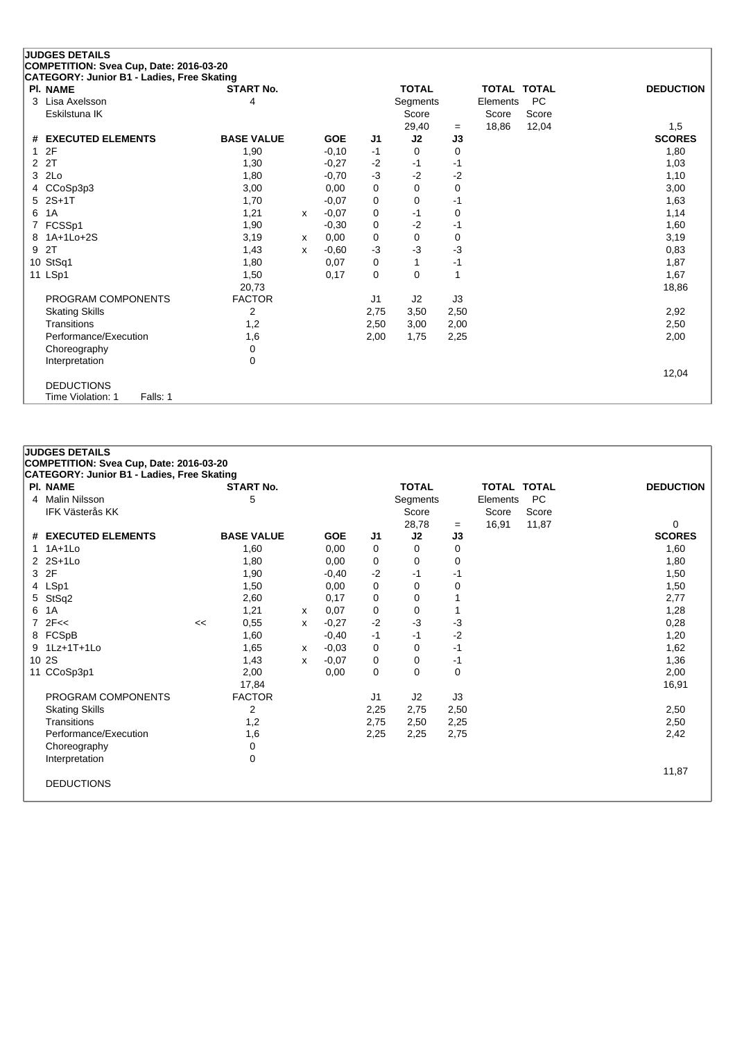## **JUDGES DETAILS COMPETITION: Svea Cup, Date: 2016-03-20**

|    | CATEGORY: Junior B1 - Ladies, Free Skating |                   |   |            |                |              |      |                    |           |                  |
|----|--------------------------------------------|-------------------|---|------------|----------------|--------------|------|--------------------|-----------|------------------|
|    | PI. NAME                                   | <b>START No.</b>  |   |            |                | <b>TOTAL</b> |      | <b>TOTAL TOTAL</b> |           | <b>DEDUCTION</b> |
|    | 3 Lisa Axelsson                            | 4                 |   |            |                | Segments     |      | Elements           | <b>PC</b> |                  |
|    | Eskilstuna IK                              |                   |   |            |                | Score        |      | Score              | Score     |                  |
|    |                                            |                   |   |            |                | 29,40        | $=$  | 18,86              | 12,04     | 1,5              |
|    | # EXECUTED ELEMENTS                        | <b>BASE VALUE</b> |   | <b>GOE</b> | J1             | J2           | J3   |                    |           | <b>SCORES</b>    |
|    | 12F                                        | 1,90              |   | $-0,10$    | -1             | 0            | 0    |                    |           | 1,80             |
|    | 2 2T                                       | 1,30              |   | $-0,27$    | $-2$           | -1           | -1   |                    |           | 1,03             |
|    | 3 2Lo                                      | 1,80              |   | $-0,70$    | $-3$           | $-2$         | $-2$ |                    |           | 1,10             |
|    | 4 CCoSp3p3                                 | 3,00              |   | 0,00       | 0              | 0            | 0    |                    |           | 3,00             |
|    | 5 2S+1T                                    | 1,70              |   | $-0,07$    | 0              | 0            | -1   |                    |           | 1,63             |
| 6. | 1A                                         | 1,21              | x | $-0.07$    | 0              | $-1$         | 0    |                    |           | 1,14             |
|    | 7 FCSSp1                                   | 1,90              |   | $-0,30$    | 0              | $-2$         | -1   |                    |           | 1,60             |
|    | 8 1A+1Lo+2S                                | 3,19              | х | 0,00       | 0              | 0            | 0    |                    |           | 3,19             |
|    | 9 2T                                       | 1,43              | x | $-0,60$    | $-3$           | -3           | $-3$ |                    |           | 0,83             |
|    | 10 StSq1                                   | 1,80              |   | 0,07       | 0              | 1            | $-1$ |                    |           | 1,87             |
|    | 11 LSp1                                    | 1,50              |   | 0,17       | 0              | 0            |      |                    |           | 1,67             |
|    |                                            | 20,73             |   |            |                |              |      |                    |           | 18,86            |
|    | PROGRAM COMPONENTS                         | <b>FACTOR</b>     |   |            | J <sub>1</sub> | J2           | J3   |                    |           |                  |
|    | <b>Skating Skills</b>                      | 2                 |   |            | 2,75           | 3,50         | 2,50 |                    |           | 2,92             |
|    | Transitions                                | 1,2               |   |            | 2,50           | 3,00         | 2,00 |                    |           | 2,50             |
|    | Performance/Execution                      | 1,6               |   |            | 2,00           | 1,75         | 2,25 |                    |           | 2,00             |
|    | Choreography                               | 0                 |   |            |                |              |      |                    |           |                  |
|    | Interpretation                             | 0                 |   |            |                |              |      |                    |           |                  |
|    |                                            |                   |   |            |                |              |      |                    |           | 12,04            |
|    | <b>DEDUCTIONS</b>                          |                   |   |            |                |              |      |                    |           |                  |
|    | Time Violation: 1<br>Falls: 1              |                   |   |            |                |              |      |                    |           |                  |

#### **JUDGES DETAILS**

**COMPETITION: Svea Cup, Date: 2016-03-20**

|   | <b>CATEGORY: Junior B1 - Ladies, Free Skating</b> |    |                   |   |            |      |                |      |                    |           |                  |
|---|---------------------------------------------------|----|-------------------|---|------------|------|----------------|------|--------------------|-----------|------------------|
|   | <b>PI. NAME</b>                                   |    | <b>START No.</b>  |   |            |      | <b>TOTAL</b>   |      | <b>TOTAL TOTAL</b> |           | <b>DEDUCTION</b> |
|   | 4 Malin Nilsson                                   |    | 5                 |   |            |      | Segments       |      | Elements           | <b>PC</b> |                  |
|   | <b>IFK Västerås KK</b>                            |    |                   |   |            |      | Score          |      | Score              | Score     |                  |
|   |                                                   |    |                   |   |            |      | 28,78          | $=$  | 16,91              | 11,87     | 0                |
|   | # EXECUTED ELEMENTS                               |    | <b>BASE VALUE</b> |   | <b>GOE</b> | J1   | J2             | J3   |                    |           | <b>SCORES</b>    |
|   | $1.1A+1Lo$                                        |    | 1,60              |   | 0,00       | 0    | 0              | 0    |                    |           | 1,60             |
|   | 2 2S+1Lo                                          |    | 1,80              |   | 0,00       | 0    | 0              | 0    |                    |           | 1,80             |
|   | 3 2F                                              |    | 1,90              |   | $-0,40$    | $-2$ | -1             | -1   |                    |           | 1,50             |
|   | 4 LSp1                                            |    | 1,50              |   | 0,00       | 0    | 0              | 0    |                    |           | 1,50             |
|   | 5 StSq2                                           |    | 2,60              |   | 0,17       | 0    | 0              |      |                    |           | 2,77             |
| 6 | 1A                                                |    | 1,21              | х | 0,07       | 0    | 0              |      |                    |           | 1,28             |
|   | $7$ $2F <$                                        | << | 0,55              | x | $-0,27$    | $-2$ | $-3$           | -3   |                    |           | 0,28             |
|   | 8 FCSpB                                           |    | 1,60              |   | $-0,40$    | $-1$ | -1             | $-2$ |                    |           | 1,20             |
|   | 9 1Lz+1T+1Lo                                      |    | 1,65              | х | $-0,03$    | 0    | 0              | -1   |                    |           | 1,62             |
|   | 10 2S                                             |    | 1,43              | x | $-0,07$    | 0    | 0              | -1   |                    |           | 1,36             |
|   | 11 CCoSp3p1                                       |    | 2,00              |   | 0,00       | 0    | 0              | 0    |                    |           | 2,00             |
|   |                                                   |    | 17,84             |   |            |      |                |      |                    |           | 16,91            |
|   | PROGRAM COMPONENTS                                |    | <b>FACTOR</b>     |   |            | J1   | J <sub>2</sub> | J3   |                    |           |                  |
|   | <b>Skating Skills</b>                             |    | 2                 |   |            | 2,25 | 2,75           | 2,50 |                    |           | 2,50             |
|   | Transitions                                       |    | 1,2               |   |            | 2,75 | 2,50           | 2,25 |                    |           | 2,50             |
|   | Performance/Execution                             |    | 1,6               |   |            | 2,25 | 2,25           | 2,75 |                    |           | 2,42             |
|   | Choreography                                      |    | 0                 |   |            |      |                |      |                    |           |                  |
|   | Interpretation                                    |    | 0                 |   |            |      |                |      |                    |           |                  |
|   |                                                   |    |                   |   |            |      |                |      |                    |           | 11,87            |
|   | <b>DEDUCTIONS</b>                                 |    |                   |   |            |      |                |      |                    |           |                  |
|   |                                                   |    |                   |   |            |      |                |      |                    |           |                  |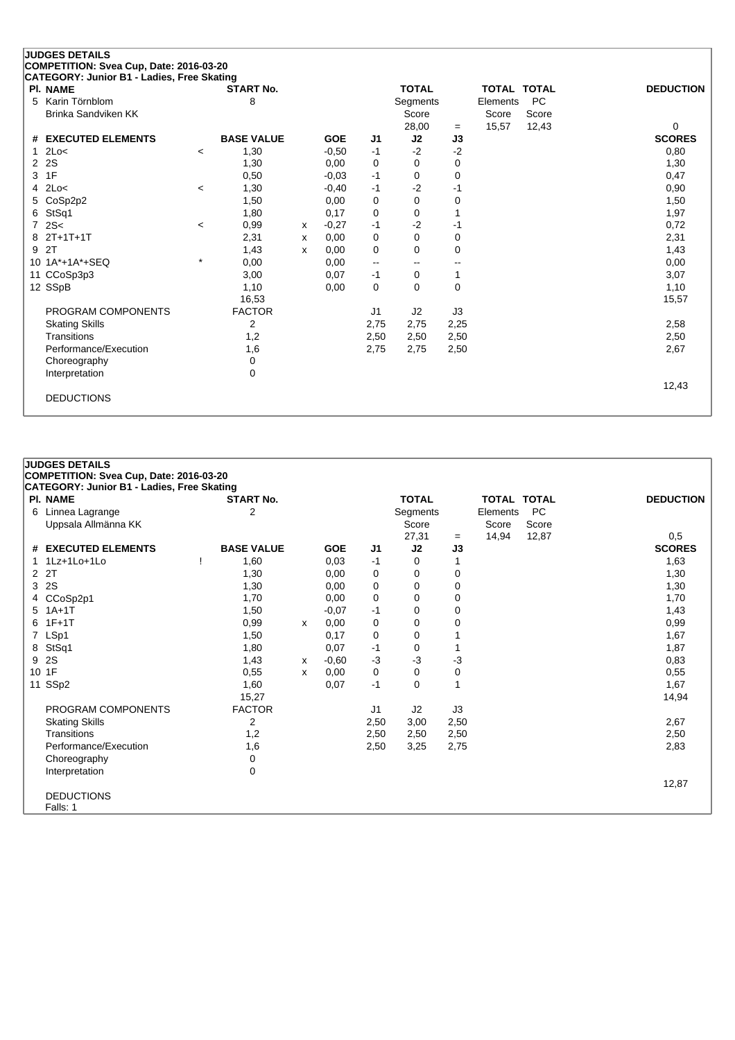|                | <b>JUDGES DETAILS</b>                      |         |                   |   |            |                          |                          |              |          |                    |                  |
|----------------|--------------------------------------------|---------|-------------------|---|------------|--------------------------|--------------------------|--------------|----------|--------------------|------------------|
|                | COMPETITION: Svea Cup, Date: 2016-03-20    |         |                   |   |            |                          |                          |              |          |                    |                  |
|                | CATEGORY: Junior B1 - Ladies, Free Skating |         |                   |   |            |                          |                          |              |          |                    |                  |
|                | <b>PI. NAME</b>                            |         | <b>START No.</b>  |   |            |                          | <b>TOTAL</b>             |              |          | <b>TOTAL TOTAL</b> | <b>DEDUCTION</b> |
| 5              | Karin Törnblom                             |         | 8                 |   |            |                          | Segments                 |              | Elements | <b>PC</b>          |                  |
|                | <b>Brinka Sandviken KK</b>                 |         |                   |   |            |                          | Score                    |              | Score    | Score              |                  |
|                |                                            |         |                   |   |            |                          | 28,00                    | $=$          | 15,57    | 12,43              | $\mathbf 0$      |
| #              | <b>EXECUTED ELEMENTS</b>                   |         | <b>BASE VALUE</b> |   | <b>GOE</b> | J1                       | J2                       | J3           |          |                    | <b>SCORES</b>    |
|                | 2Lo<                                       | $\prec$ | 1,30              |   | $-0,50$    | $-1$                     | $-2$                     | $-2$         |          |                    | 0,80             |
| 2              | 2S                                         |         | 1,30              |   | 0,00       | 0                        | $\Omega$                 | 0            |          |                    | 1,30             |
| 3              | 1F                                         |         | 0,50              |   | $-0.03$    | $-1$                     | 0                        | $\mathbf 0$  |          |                    | 0,47             |
| 4              | 2Lo<                                       | $\,<$   | 1,30              |   | $-0,40$    | $-1$                     | $-2$                     | -1           |          |                    | 0,90             |
| 5              | CoSp2p2                                    |         | 1,50              |   | 0,00       | 0                        | $\Omega$                 | 0            |          |                    | 1,50             |
| 6              | StSq1                                      |         | 1,80              |   | 0,17       | 0                        | 0                        |              |          |                    | 1,97             |
| $\overline{7}$ | 2S<                                        | $\prec$ | 0,99              | X | $-0.27$    | $-1$                     | $-2$                     | -1           |          |                    | 0,72             |
| 8              | $2T+1T+1T$                                 |         | 2,31              | x | 0,00       | 0                        | $\Omega$                 | $\mathbf 0$  |          |                    | 2,31             |
| 9              | 2T                                         |         | 1,43              | X | 0,00       | 0                        | $\Omega$                 | $\Omega$     |          |                    | 1,43             |
| 10             | 1A*+1A*+SEQ                                | $\star$ | 0,00              |   | 0,00       | $\overline{\phantom{a}}$ | $\overline{\phantom{a}}$ | --           |          |                    | 0,00             |
| 11             | CCoSp3p3                                   |         | 3,00              |   | 0,07       | $-1$                     | $\Omega$                 | $\mathbf{1}$ |          |                    | 3,07             |
|                | 12 SSpB                                    |         | 1,10              |   | 0,00       | 0                        | $\Omega$                 | $\Omega$     |          |                    | 1,10             |
|                |                                            |         | 16,53             |   |            |                          |                          |              |          |                    | 15,57            |
|                | PROGRAM COMPONENTS                         |         | <b>FACTOR</b>     |   |            | J1                       | J2                       | J3           |          |                    |                  |
|                | <b>Skating Skills</b>                      |         | 2                 |   |            | 2,75                     | 2,75                     | 2,25         |          |                    | 2,58             |
|                | Transitions                                |         | 1,2               |   |            | 2,50                     | 2,50                     | 2,50         |          |                    | 2,50             |
|                | Performance/Execution                      |         | 1,6               |   |            | 2,75                     | 2,75                     | 2,50         |          |                    | 2,67             |
|                | Choreography                               |         | 0                 |   |            |                          |                          |              |          |                    |                  |
|                | Interpretation                             |         | 0                 |   |            |                          |                          |              |          |                    |                  |
|                |                                            |         |                   |   |            |                          |                          |              |          |                    | 12,43            |
|                | <b>DEDUCTIONS</b>                          |         |                   |   |            |                          |                          |              |          |                    |                  |
|                |                                            |         |                   |   |            |                          |                          |              |          |                    |                  |

|       | <b>JUDGES DETAILS</b>                      |                   |   |            |                |              |      |                    |           |                  |
|-------|--------------------------------------------|-------------------|---|------------|----------------|--------------|------|--------------------|-----------|------------------|
|       | COMPETITION: Svea Cup, Date: 2016-03-20    |                   |   |            |                |              |      |                    |           |                  |
|       | CATEGORY: Junior B1 - Ladies, Free Skating |                   |   |            |                |              |      |                    |           |                  |
|       | <b>PI. NAME</b>                            | <b>START No.</b>  |   |            |                | <b>TOTAL</b> |      | <b>TOTAL TOTAL</b> |           | <b>DEDUCTION</b> |
|       | 6 Linnea Lagrange                          | $\overline{2}$    |   |            |                | Segments     |      | Elements           | <b>PC</b> |                  |
|       | Uppsala Allmänna KK                        |                   |   |            |                | Score        |      | Score              | Score     |                  |
|       |                                            |                   |   |            |                | 27,31        | $=$  | 14,94              | 12,87     | 0,5              |
|       | # EXECUTED ELEMENTS                        | <b>BASE VALUE</b> |   | <b>GOE</b> | J1             | J2           | J3   |                    |           | <b>SCORES</b>    |
|       | 1Lz+1Lo+1Lo                                | 1,60              |   | 0.03       | -1             | 0            | 1    |                    |           | 1,63             |
|       | 2 2T                                       | 1,30              |   | 0,00       | 0              | 0            | 0    |                    |           | 1,30             |
|       | 3 2S                                       | 1,30              |   | 0,00       | 0              | 0            | 0    |                    |           | 1,30             |
|       | 4 CCoSp2p1                                 | 1,70              |   | 0,00       | 0              | 0            | 0    |                    |           | 1,70             |
|       | $5$ 1A+1T                                  | 1,50              |   | $-0.07$    | $-1$           | 0            | 0    |                    |           | 1,43             |
|       | $6$ 1F+1T                                  | 0,99              | X | 0,00       | 0              | 0            | 0    |                    |           | 0,99             |
|       | 7 LSp1                                     | 1,50              |   | 0,17       | 0              | 0            |      |                    |           | 1,67             |
|       | 8 StSq1                                    | 1,80              |   | 0,07       | $-1$           | 0            | 1    |                    |           | 1,87             |
|       | 9 2S                                       | 1,43              | x | $-0.60$    | $-3$           | $-3$         | -3   |                    |           | 0,83             |
| 10 1F |                                            | 0,55              | X | 0,00       | 0              | 0            | 0    |                    |           | 0,55             |
|       | 11 SSp2                                    | 1,60              |   | 0,07       | $-1$           | 0            | 1    |                    |           | 1,67             |
|       |                                            | 15,27             |   |            |                |              |      |                    |           | 14,94            |
|       | PROGRAM COMPONENTS                         | <b>FACTOR</b>     |   |            | J <sub>1</sub> | J2           | J3   |                    |           |                  |
|       | <b>Skating Skills</b>                      | $\overline{2}$    |   |            | 2,50           | 3,00         | 2,50 |                    |           | 2,67             |
|       | Transitions                                | 1,2               |   |            | 2,50           | 2,50         | 2,50 |                    |           | 2,50             |
|       | Performance/Execution                      | 1,6               |   |            | 2,50           | 3,25         | 2,75 |                    |           | 2,83             |
|       | Choreography                               | 0                 |   |            |                |              |      |                    |           |                  |
|       | Interpretation                             | 0                 |   |            |                |              |      |                    |           |                  |
|       |                                            |                   |   |            |                |              |      |                    |           | 12,87            |
|       | <b>DEDUCTIONS</b>                          |                   |   |            |                |              |      |                    |           |                  |
|       | Falls: 1                                   |                   |   |            |                |              |      |                    |           |                  |